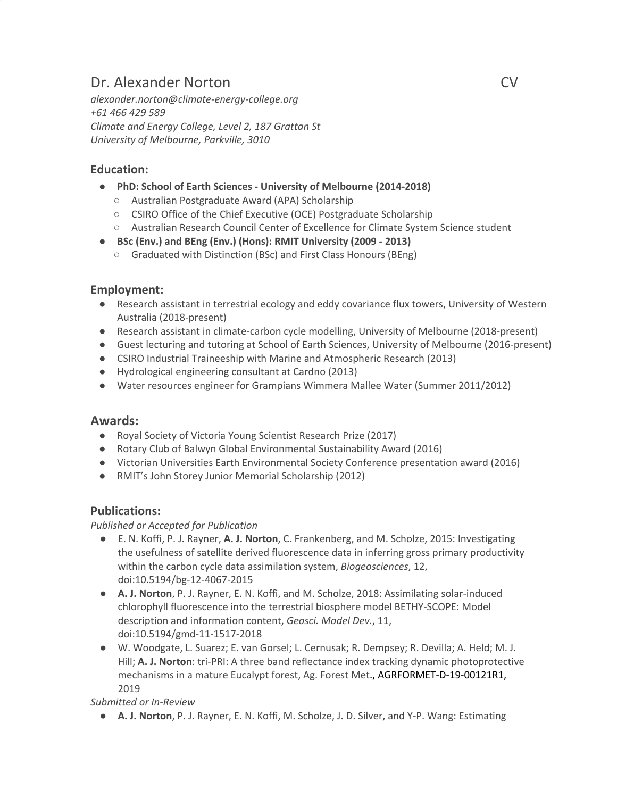# Dr. Alexander Norton CV

*alexander.norton@climate-energy-college.org +61 466 429 589 Climate and Energy College, Level 2, 187 Grattan St University of Melbourne, Parkville, 3010*

## **Education:**

- **PhD: School of Earth Sciences - University of Melbourne (2014-2018)**
	- Australian Postgraduate Award (APA) Scholarship
	- CSIRO Office of the Chief Executive (OCE) Postgraduate Scholarship
	- Australian Research Council Center of Excellence for Climate System Science student
- **BSc (Env.) and BEng (Env.) (Hons): RMIT University (2009 - 2013)**
	- Graduated with Distinction (BSc) and First Class Honours (BEng)

#### **Employment:**

- Research assistant in terrestrial ecology and eddy covariance flux towers, University of Western Australia (2018-present)
- Research assistant in climate-carbon cycle modelling, University of Melbourne (2018-present)
- Guest lecturing and tutoring at School of Earth Sciences, University of Melbourne (2016-present)
- CSIRO Industrial Traineeship with Marine and Atmospheric Research (2013)
- Hydrological engineering consultant at Cardno (2013)
- Water resources engineer for Grampians Wimmera Mallee Water (Summer 2011/2012)

#### **Awards:**

- Royal Society of Victoria Young Scientist Research Prize (2017)
- Rotary Club of Balwyn Global Environmental Sustainability Award (2016)
- Victorian Universities Earth Environmental Society Conference presentation award (2016)
- RMIT's John Storey Junior Memorial Scholarship (2012)

#### **Publications:**

#### *Published or Accepted for Publication*

- E. N. Koffi, P. J. Rayner, **A. J. Norton**, C. Frankenberg, and M. Scholze, 2015: Investigating the usefulness of satellite derived fluorescence data in inferring gross primary productivity within the carbon cycle data assimilation system, *Biogeosciences*, 12, doi:10.5194/bg-12-4067-2015
- **A. J. Norton**, P. J. Rayner, E. N. Koffi, and M. Scholze, 2018: Assimilating solar-induced chlorophyll fluorescence into the terrestrial biosphere model BETHY-SCOPE: Model description and information content, *Geosci. Model Dev.*, 11, doi:10.5194/gmd-11-1517-2018
- W. Woodgate, L. Suarez; E. van Gorsel; L. Cernusak; R. Dempsey; R. Devilla; A. Held; M. J. Hill; **A. J. Norton**: tri-PRI: A three band reflectance index tracking dynamic photoprotective mechanisms in a mature Eucalypt forest, Ag. Forest Met., AGRFORMET-D-19-00121R1, 2019

*Submitted or In-Review*

● **A. J. Norton**, P. J. Rayner, E. N. Koffi, M. Scholze, J. D. Silver, and Y-P. Wang: Estimating